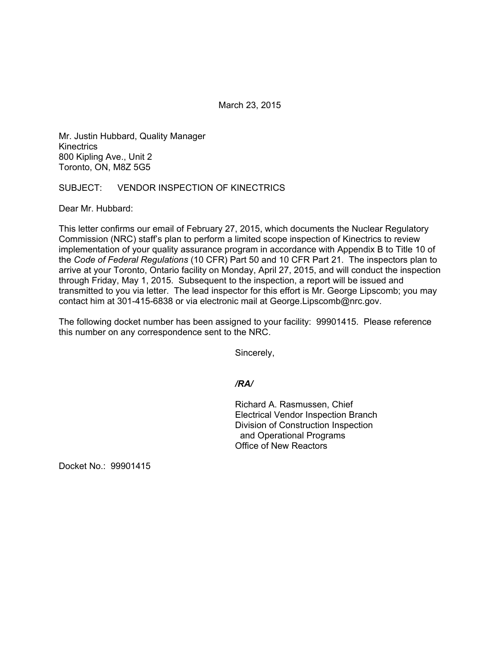March 23, 2015

Mr. Justin Hubbard, Quality Manager **Kinectrics** 800 Kipling Ave., Unit 2 Toronto, ON, M8Z 5G5

# SUBJECT: VENDOR INSPECTION OF KINECTRICS

Dear Mr. Hubbard:

This letter confirms our email of February 27, 2015, which documents the Nuclear Regulatory Commission (NRC) staff's plan to perform a limited scope inspection of Kinectrics to review implementation of your quality assurance program in accordance with Appendix B to Title 10 of the *Code of Federal Regulations* (10 CFR) Part 50 and 10 CFR Part 21. The inspectors plan to arrive at your Toronto, Ontario facility on Monday, April 27, 2015, and will conduct the inspection through Friday, May 1, 2015. Subsequent to the inspection, a report will be issued and transmitted to you via letter. The lead inspector for this effort is Mr. George Lipscomb; you may contact him at 301-415-6838 or via electronic mail at George.Lipscomb@nrc.gov.

The following docket number has been assigned to your facility: 99901415. Please reference this number on any correspondence sent to the NRC.

Sincerely,

# */RA/*

Richard A. Rasmussen, Chief Electrical Vendor Inspection Branch Division of Construction Inspection and Operational Programs Office of New Reactors

Docket No.: 99901415